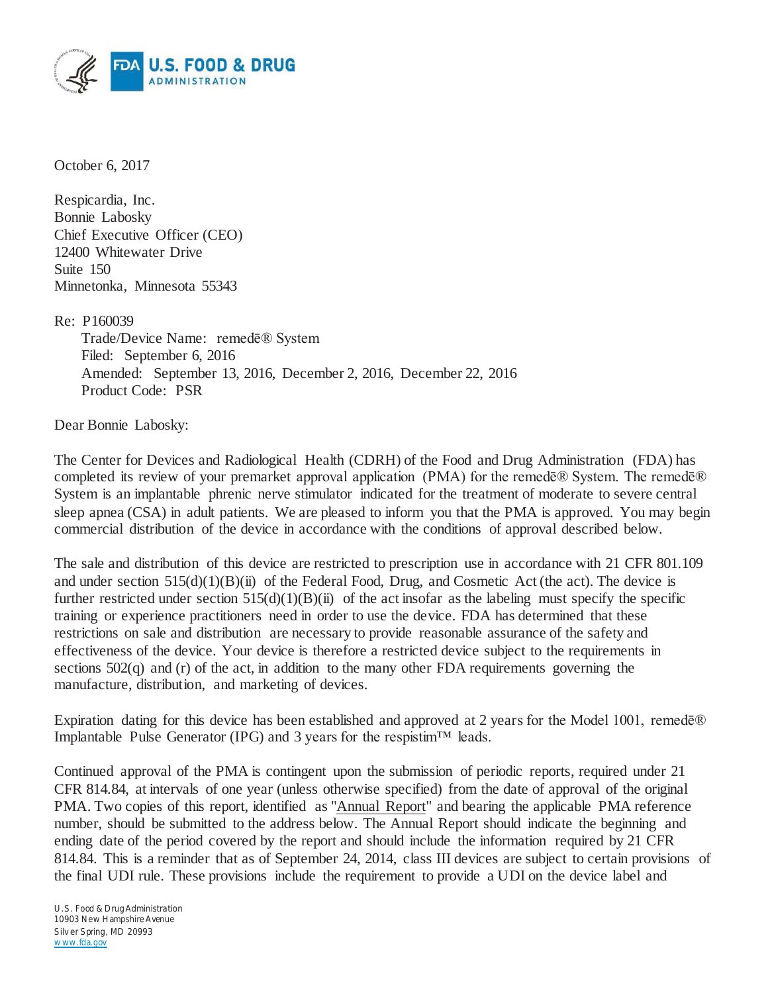

October 6, 2017

Respicardia, Inc. Bonnie Labosky Chief Executive Officer (CEO) 12400 Whitewater Drive Suite 150 Minnetonka, Minnesota 55343

Re: P160039

Trade/Device Name: remedē® System Filed: September 6, 2016 Amended: September 13, 2016, December 2, 2016, December 22, 2016 Product Code: PSR

Dear Bonnie Labosky:

The Center for Devices and Radiological Health (CDRH) of the Food and Drug Administration (FDA) has completed its review of your premarket approval application (PMA) for the remedē® System. The remedē® System is an implantable phrenic nerve stimulator indicated for the treatment of moderate to severe central sleep apnea (CSA) in adult patients. We are pleased to inform you that the PMA is approved. You may begin commercial distribution of the device in accordance with the conditions of approval described below.

The sale and distribution of this device are restricted to prescription use in accordance with 21 CFR 801.109 and under section  $515(d)(1)(B)(ii)$  of the Federal Food, Drug, and Cosmetic Act (the act). The device is further restricted under section  $515(d)(1)(B)(ii)$  of the act insofar as the labeling must specify the specific training or experience practitioners need in order to use the device. FDA has determined that these restrictions on sale and distribution are necessary to provide reasonable assurance of the safety and effectiveness of the device. Your device is therefore a restricted device subject to the requirements in sections  $502(q)$  and (r) of the act, in addition to the many other FDA requirements governing the manufacture, distribution, and marketing of devices.

Expiration dating for this device has been established and approved at 2 years for the Model 1001, remede® Implantable Pulse Generator (IPG) and 3 years for the respistim<sup>™</sup> leads.

Continued approval of the PMA is contingent upon the submission of periodic reports, required under 21 CFR 814.84, at intervals of one year (unless otherwise specified) from the date of approval of the original PMA. Two copies of this report, identified as "Annual Report" and bearing the applicable PMA reference number, should be submitted to the address below. The Annual Report should indicate the beginning and ending date of the period covered by the report and should include the information required by 21 CFR 814.84. This is a reminder that as of September 24, 2014, class III devices are subject to certain provisions of the final UDI rule. These provisions include the requirement to provide a UDI on the device label and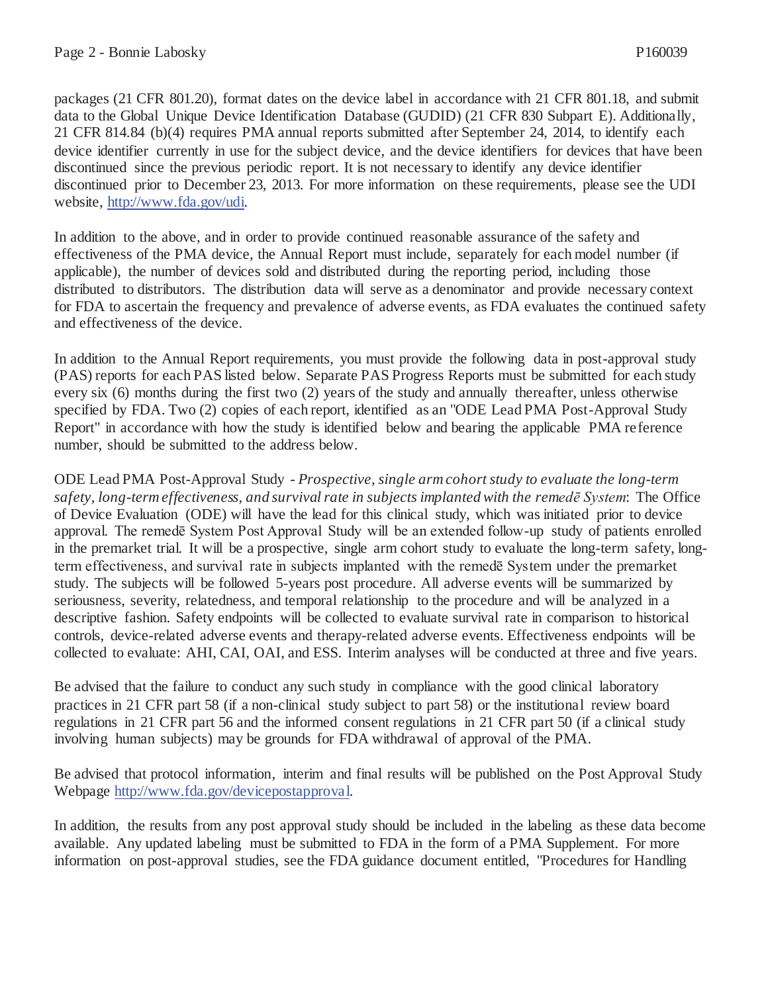packages (21 CFR 801.20), format dates on the device label in accordance with 21 CFR 801.18, and submit data to the Global Unique Device Identification Database (GUDID) (21 CFR 830 Subpart E). Additionally, 21 CFR 814.84 (b)(4) requires PMA annual reports submitted after September 24, 2014, to identify each device identifier currently in use for the subject device, and the device identifiers for devices that have been discontinued since the previous periodic report. It is not necessary to identify any device identifier discontinued prior to December 23, 2013. For more information on these requirements, please see the UDI website, http://www.fda.gov/udi.

In addition to the above, and in order to provide continued reasonable assurance of the safety and effectiveness of the PMA device, the Annual Report must include, separately for each model number (if applicable), the number of devices sold and distributed during the reporting period, including those distributed to distributors. The distribution data will serve as a denominator and provide necessary context for FDA to ascertain the frequency and prevalence of adverse events, as FDA evaluates the continued safety and effectiveness of the device.

In addition to the Annual Report requirements, you must provide the following data in post-approval study (PAS) reports for each PAS listed below. Separate PAS Progress Reports must be submitted for each study every six (6) months during the first two (2) years of the study and annually thereafter, unless otherwise specified by FDA. Two (2) copies of each report, identified as an "ODE Lead PMA Post-Approval Study Report" in accordance with how the study is identified below and bearing the applicable PMA reference number, should be submitted to the address below.

ODE Lead PMA Post-Approval Study *- Prospective, single arm cohort study to evaluate the long-term safety, long-term effectiveness, and survival rate in subjects implanted with the remedē System*: The Office of Device Evaluation (ODE) will have the lead for this clinical study, which was initiated prior to device approval. The remedē System Post Approval Study will be an extended follow-up study of patients enrolled in the premarket trial. It will be a prospective, single arm cohort study to evaluate the long-term safety, longterm effectiveness, and survival rate in subjects implanted with the remedē System under the premarket study. The subjects will be followed 5-years post procedure. All adverse events will be summarized by seriousness, severity, relatedness, and temporal relationship to the procedure and will be analyzed in a descriptive fashion. Safety endpoints will be collected to evaluate survival rate in comparison to historical controls, device-related adverse events and therapy-related adverse events. Effectiveness endpoints will be collected to evaluate: AHI, CAI, OAI, and ESS. Interim analyses will be conducted at three and five years.

Be advised that the failure to conduct any such study in compliance with the good clinical laboratory practices in 21 CFR part 58 (if a non-clinical study subject to part 58) or the institutional review board regulations in 21 CFR part 56 and the informed consent regulations in 21 CFR part 50 (if a clinical study involving human subjects) may be grounds for FDA withdrawal of approval of the PMA.

Be advised that protocol information, interim and final results will be published on the Post Approval Study Webpage http://www.fda.gov/devicepostapproval.

In addition, the results from any post approval study should be included in the labeling as these data become available. Any updated labeling must be submitted to FDA in the form of a PMA Supplement. For more information on post-approval studies, see the FDA guidance document entitled, "Procedures for Handling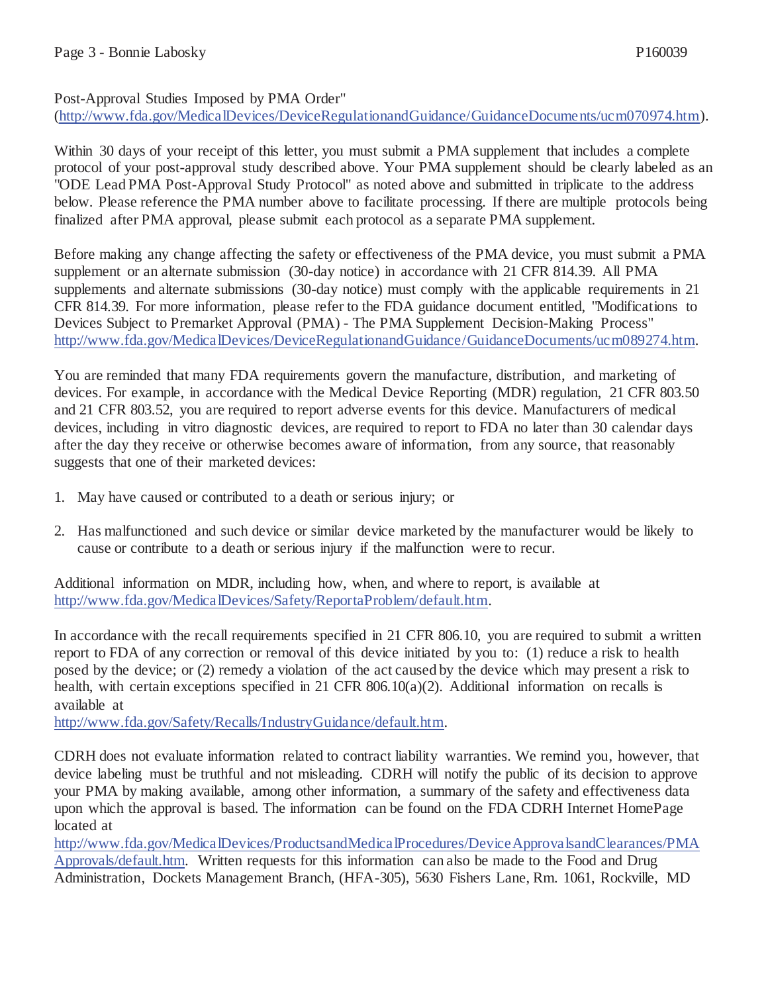## Post-Approval Studies Imposed by PMA Order"

(http://www.fda.gov/MedicalDevices/DeviceRegulationandGuidance/GuidanceDocuments/ucm070974.htm).

Within 30 days of your receipt of this letter, you must submit a PMA supplement that includes a complete protocol of your post-approval study described above. Your PMA supplement should be clearly labeled as an "ODE Lead PMA Post-Approval Study Protocol" as noted above and submitted in triplicate to the address below. Please reference the PMA number above to facilitate processing. If there are multiple protocols being finalized after PMA approval, please submit each protocol as a separate PMA supplement.

Before making any change affecting the safety or effectiveness of the PMA device, you must submit a PMA supplement or an alternate submission (30-day notice) in accordance with 21 CFR 814.39. All PMA supplements and alternate submissions (30-day notice) must comply with the applicable requirements in 21 CFR 814.39. For more information, please refer to the FDA guidance document entitled, "Modifications to Devices Subject to Premarket Approval (PMA) - The PMA Supplement Decision-Making Process" http://www.fda.gov/MedicalDevices/DeviceRegulationandGuidance/GuidanceDocuments/ucm089274.htm.

You are reminded that many FDA requirements govern the manufacture, distribution, and marketing of devices. For example, in accordance with the Medical Device Reporting (MDR) regulation, 21 CFR 803.50 and 21 CFR 803.52, you are required to report adverse events for this device. Manufacturers of medical devices, including in vitro diagnostic devices, are required to report to FDA no later than 30 calendar days after the day they receive or otherwise becomes aware of information, from any source, that reasonably suggests that one of their marketed devices:

- 1. May have caused or contributed to a death or serious injury; or
- 2. Has malfunctioned and such device or similar device marketed by the manufacturer would be likely to cause or contribute to a death or serious injury if the malfunction were to recur.

Additional information on MDR, including how, when, and where to report, is available at http://www.fda.gov/MedicalDevices/Safety/ReportaProblem/default.htm.

In accordance with the recall requirements specified in 21 CFR 806.10, you are required to submit a written report to FDA of any correction or removal of this device initiated by you to: (1) reduce a risk to health posed by the device; or (2) remedy a violation of the act caused by the device which may present a risk to health, with certain exceptions specified in 21 CFR 806.10(a)(2). Additional information on recalls is available at

http://www.fda.gov/Safety/Recalls/IndustryGuidance/default.htm.

CDRH does not evaluate information related to contract liability warranties. We remind you, however, that device labeling must be truthful and not misleading. CDRH will notify the public of its decision to approve your PMA by making available, among other information, a summary of the safety and effectiveness data upon which the approval is based. The information can be found on the FDA CDRH Internet HomePage located at

http://www.fda.gov/MedicalDevices/ProductsandMedicalProcedures/DeviceApprovalsandClearances/PMA Approvals/default.htm. Written requests for this information can also be made to the Food and Drug Administration, Dockets Management Branch, (HFA-305), 5630 Fishers Lane, Rm. 1061, Rockville, MD